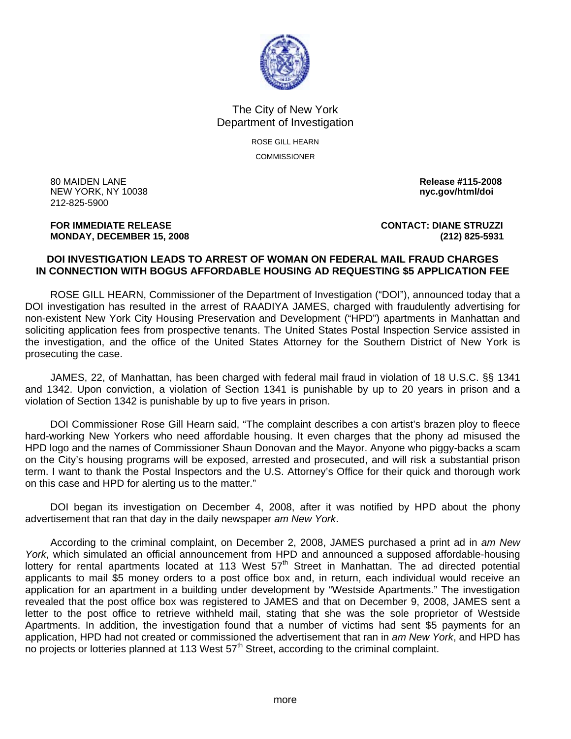

## The City of New York Department of Investigation

ROSE GILL HEARN **COMMISSIONER** 

80 MAIDEN LANE **Release #115-2008 NEW YORK, NY 10038** 212-825-5900

## **FOR IMMEDIATE RELEASE CONTACT: DIANE STRUZZI MONDAY, DECEMBER 15, 2008 (212) 825-5931**

## **DOI INVESTIGATION LEADS TO ARREST OF WOMAN ON FEDERAL MAIL FRAUD CHARGES IN CONNECTION WITH BOGUS AFFORDABLE HOUSING AD REQUESTING \$5 APPLICATION FEE**

 ROSE GILL HEARN, Commissioner of the Department of Investigation ("DOI"), announced today that a DOI investigation has resulted in the arrest of RAADIYA JAMES, charged with fraudulently advertising for non-existent New York City Housing Preservation and Development ("HPD") apartments in Manhattan and soliciting application fees from prospective tenants. The United States Postal Inspection Service assisted in the investigation, and the office of the United States Attorney for the Southern District of New York is prosecuting the case.

 JAMES, 22, of Manhattan, has been charged with federal mail fraud in violation of 18 U.S.C. §§ 1341 and 1342. Upon conviction, a violation of Section 1341 is punishable by up to 20 years in prison and a violation of Section 1342 is punishable by up to five years in prison.

 DOI Commissioner Rose Gill Hearn said, "The complaint describes a con artist's brazen ploy to fleece hard-working New Yorkers who need affordable housing. It even charges that the phony ad misused the HPD logo and the names of Commissioner Shaun Donovan and the Mayor. Anyone who piggy-backs a scam on the City's housing programs will be exposed, arrested and prosecuted, and will risk a substantial prison term. I want to thank the Postal Inspectors and the U.S. Attorney's Office for their quick and thorough work on this case and HPD for alerting us to the matter."

 DOI began its investigation on December 4, 2008, after it was notified by HPD about the phony advertisement that ran that day in the daily newspaper *am New York*.

 According to the criminal complaint, on December 2, 2008, JAMES purchased a print ad in *am New York*, which simulated an official announcement from HPD and announced a supposed affordable-housing lottery for rental apartments located at 113 West 57<sup>th</sup> Street in Manhattan. The ad directed potential applicants to mail \$5 money orders to a post office box and, in return, each individual would receive an application for an apartment in a building under development by "Westside Apartments." The investigation revealed that the post office box was registered to JAMES and that on December 9, 2008, JAMES sent a letter to the post office to retrieve withheld mail, stating that she was the sole proprietor of Westside Apartments. In addition, the investigation found that a number of victims had sent \$5 payments for an application, HPD had not created or commissioned the advertisement that ran in *am New York*, and HPD has no projects or lotteries planned at 113 West 57<sup>th</sup> Street, according to the criminal complaint.